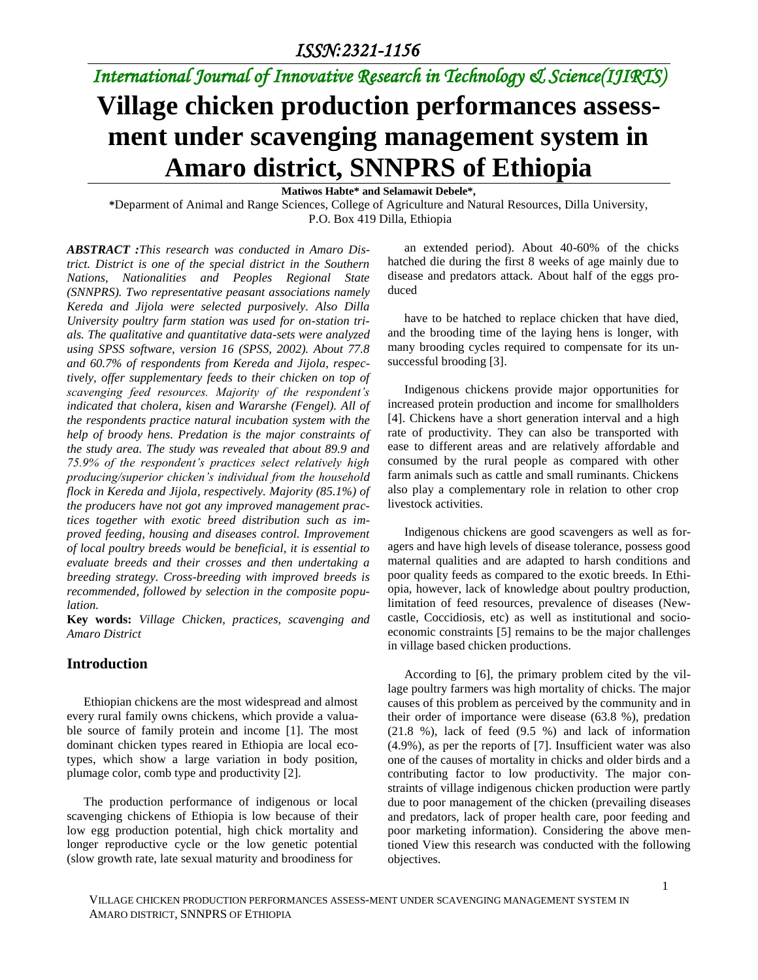## *International Journal of Innovative Research in Technology & Science(IJIRTS)*

# **Village chicken production performances assessment under scavenging management system in Amaro district, SNNPRS of Ethiopia**

**Matiwos Habte\* and Selamawit Debele\*,**

**\***Deparment of Animal and Range Sciences, College of Agriculture and Natural Resources, Dilla University, P.O. Box 419 Dilla, Ethiopia

*ABSTRACT :This research was conducted in Amaro District. District is one of the special district in the Southern Nations, Nationalities and Peoples Regional State (SNNPRS). Two representative peasant associations namely Kereda and Jijola were selected purposively. Also Dilla University poultry farm station was used for on-station trials. The qualitative and quantitative data-sets were analyzed using SPSS software, version 16 (SPSS, 2002). About 77.8 and 60.7% of respondents from Kereda and Jijola, respectively, offer supplementary feeds to their chicken on top of scavenging feed resources. Majority of the respondent's indicated that cholera, kisen and Wararshe (Fengel). All of the respondents practice natural incubation system with the help of broody hens. Predation is the major constraints of the study area. The study was revealed that about 89.9 and 75.9% of the respondent's practices select relatively high producing/superior chicken's individual from the household flock in Kereda and Jijola, respectively. Majority (85.1%) of the producers have not got any improved management practices together with exotic breed distribution such as improved feeding, housing and diseases control. Improvement of local poultry breeds would be beneficial, it is essential to evaluate breeds and their crosses and then undertaking a breeding strategy. Cross-breeding with improved breeds is recommended, followed by selection in the composite population.*

**Key words:** *Village Chicken, practices, scavenging and Amaro District*

### **Introduction**

Ethiopian chickens are the most widespread and almost every rural family owns chickens, which provide a valuable source of family protein and income [1]. The most dominant chicken types reared in Ethiopia are local ecotypes, which show a large variation in body position, plumage color, comb type and productivity [2].

The production performance of indigenous or local scavenging chickens of Ethiopia is low because of their low egg production potential, high chick mortality and longer reproductive cycle or the low genetic potential (slow growth rate, late sexual maturity and broodiness for

an extended period). About 40-60% of the chicks hatched die during the first 8 weeks of age mainly due to disease and predators attack. About half of the eggs produced

have to be hatched to replace chicken that have died, and the brooding time of the laying hens is longer, with many brooding cycles required to compensate for its unsuccessful brooding [3].

Indigenous chickens provide major opportunities for increased protein production and income for smallholders [4]. Chickens have a short generation interval and a high rate of productivity. They can also be transported with ease to different areas and are relatively affordable and consumed by the rural people as compared with other farm animals such as cattle and small ruminants. Chickens also play a complementary role in relation to other crop livestock activities.

Indigenous chickens are good scavengers as well as foragers and have high levels of disease tolerance, possess good maternal qualities and are adapted to harsh conditions and poor quality feeds as compared to the exotic breeds. In Ethiopia, however, lack of knowledge about poultry production, limitation of feed resources, prevalence of diseases (Newcastle, Coccidiosis, etc) as well as institutional and socioeconomic constraints [5] remains to be the major challenges in village based chicken productions.

According to [6], the primary problem cited by the village poultry farmers was high mortality of chicks. The major causes of this problem as perceived by the community and in their order of importance were disease (63.8 %), predation (21.8 %), lack of feed (9.5 %) and lack of information (4.9%), as per the reports of [7]. Insufficient water was also one of the causes of mortality in chicks and older birds and a contributing factor to low productivity. The major constraints of village indigenous chicken production were partly due to poor management of the chicken (prevailing diseases and predators, lack of proper health care, poor feeding and poor marketing information). Considering the above mentioned View this research was conducted with the following objectives.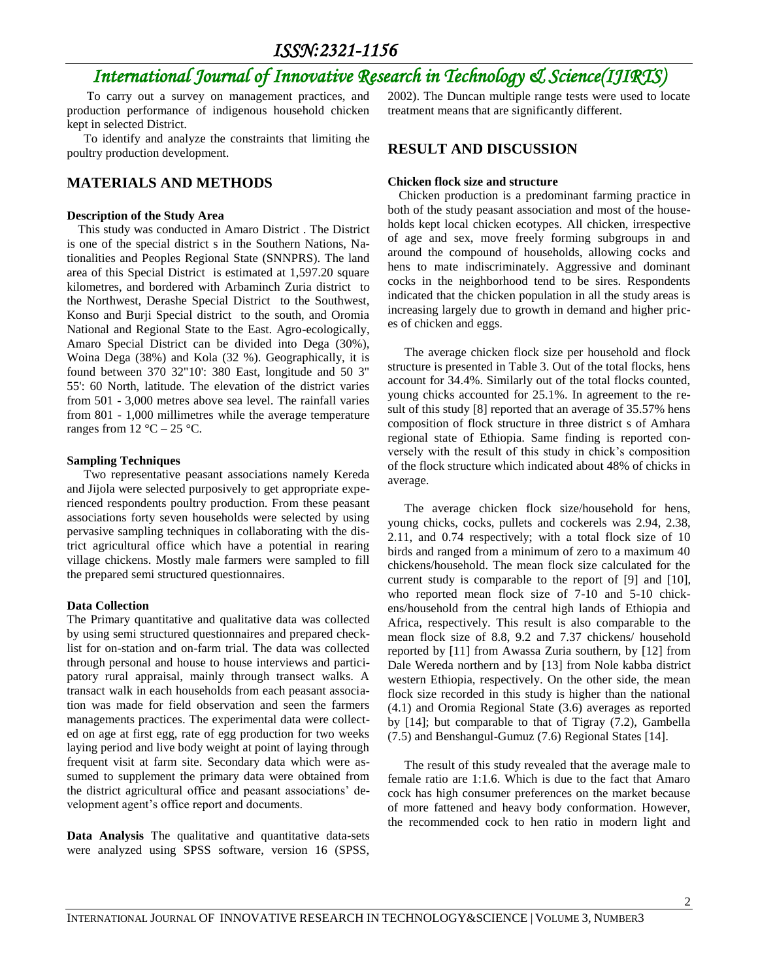## *International Journal of Innovative Research in Technology & Science(IJIRTS)*

To carry out a survey on management practices, and production performance of indigenous household chicken kept in selected District.

To identify and analyze the constraints that limiting the poultry production development.

### **MATERIALS AND METHODS**

#### **Description of the Study Area**

This study was conducted in Amaro District . The District is one of the special district s in the Southern Nations, Nationalities and Peoples Regional State (SNNPRS). The land area of this Special District is estimated at 1,597.20 square kilometres, and bordered with Arbaminch Zuria district to the Northwest, Derashe Special District to the Southwest, Konso and Burji Special district to the south, and Oromia National and Regional State to the East. Agro-ecologically, Amaro Special District can be divided into Dega (30%), Woina Dega (38%) and Kola (32 %). Geographically, it is found between 370 32"10': 380 East, longitude and 50 3" 55': 60 North, latitude. The elevation of the district varies from 501 - 3,000 metres above sea level. The rainfall varies from 801 - 1,000 millimetres while the average temperature ranges from  $12 \text{ °C} - 25 \text{ °C}$ .

#### **Sampling Techniques**

Two representative peasant associations namely Kereda and Jijola were selected purposively to get appropriate experienced respondents poultry production. From these peasant associations forty seven households were selected by using pervasive sampling techniques in collaborating with the district agricultural office which have a potential in rearing village chickens. Mostly male farmers were sampled to fill the prepared semi structured questionnaires.

#### **Data Collection**

The Primary quantitative and qualitative data was collected by using semi structured questionnaires and prepared checklist for on-station and on-farm trial. The data was collected through personal and house to house interviews and participatory rural appraisal, mainly through transect walks. A transact walk in each households from each peasant association was made for field observation and seen the farmers managements practices. The experimental data were collected on age at first egg, rate of egg production for two weeks laying period and live body weight at point of laying through frequent visit at farm site. Secondary data which were assumed to supplement the primary data were obtained from the district agricultural office and peasant associations' development agent's office report and documents.

**Data Analysis** The qualitative and quantitative data-sets were analyzed using SPSS software, version 16 (SPSS,

2002). The Duncan multiple range tests were used to locate treatment means that are significantly different.

### **RESULT AND DISCUSSION**

#### **Chicken flock size and structure**

Chicken production is a predominant farming practice in both of the study peasant association and most of the households kept local chicken ecotypes. All chicken, irrespective of age and sex, move freely forming subgroups in and around the compound of households, allowing cocks and hens to mate indiscriminately. Aggressive and dominant cocks in the neighborhood tend to be sires. Respondents indicated that the chicken population in all the study areas is increasing largely due to growth in demand and higher prices of chicken and eggs.

The average chicken flock size per household and flock structure is presented in Table 3. Out of the total flocks, hens account for 34.4%. Similarly out of the total flocks counted, young chicks accounted for 25.1%. In agreement to the result of this study [8] reported that an average of 35.57% hens composition of flock structure in three district s of Amhara regional state of Ethiopia. Same finding is reported conversely with the result of this study in chick's composition of the flock structure which indicated about 48% of chicks in average.

The average chicken flock size/household for hens, young chicks, cocks, pullets and cockerels was 2.94, 2.38, 2.11, and 0.74 respectively; with a total flock size of 10 birds and ranged from a minimum of zero to a maximum 40 chickens/household. The mean flock size calculated for the current study is comparable to the report of [9] and [10], who reported mean flock size of 7-10 and 5-10 chickens/household from the central high lands of Ethiopia and Africa, respectively. This result is also comparable to the mean flock size of 8.8, 9.2 and 7.37 chickens/ household reported by [11] from Awassa Zuria southern, by [12] from Dale Wereda northern and by [13] from Nole kabba district western Ethiopia, respectively. On the other side, the mean flock size recorded in this study is higher than the national (4.1) and Oromia Regional State (3.6) averages as reported by [14]; but comparable to that of Tigray (7.2), Gambella (7.5) and Benshangul-Gumuz (7.6) Regional States [14].

The result of this study revealed that the average male to female ratio are 1:1.6. Which is due to the fact that Amaro cock has high consumer preferences on the market because of more fattened and heavy body conformation. However, the recommended cock to hen ratio in modern light and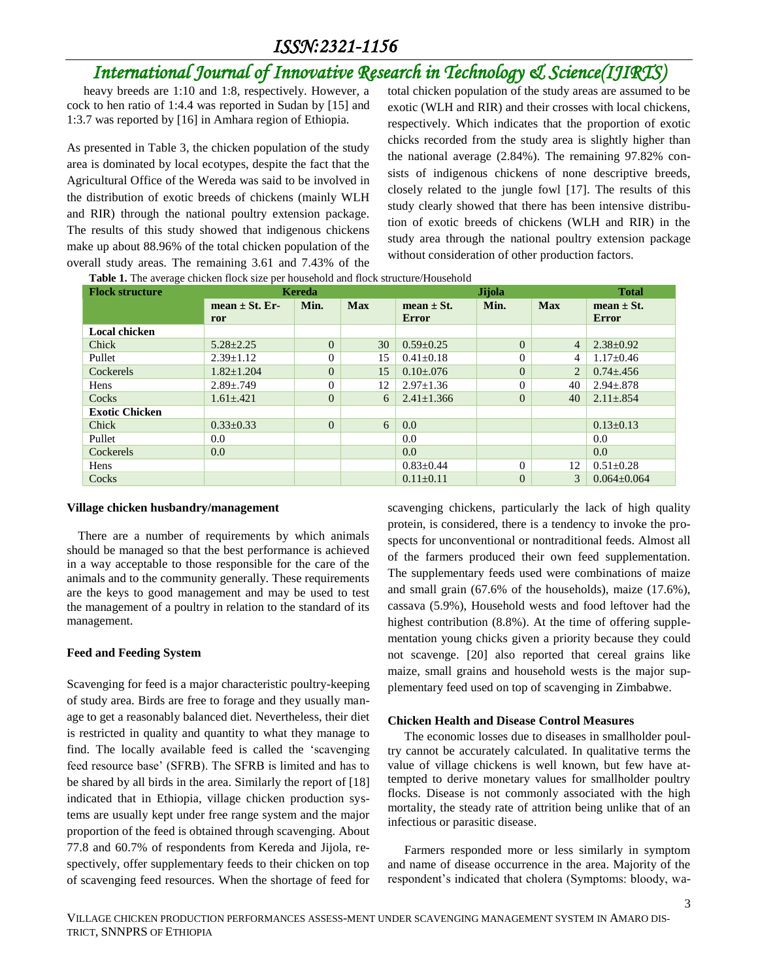## *International Journal of Innovative Research in Technology & Science(IJIRTS)*

heavy breeds are 1:10 and 1:8, respectively. However, a cock to hen ratio of 1:4.4 was reported in Sudan by [15] and 1:3.7 was reported by [16] in Amhara region of Ethiopia.

As presented in Table 3, the chicken population of the study area is dominated by local ecotypes, despite the fact that the Agricultural Office of the Wereda was said to be involved in the distribution of exotic breeds of chickens (mainly WLH and RIR) through the national poultry extension package. The results of this study showed that indigenous chickens make up about 88.96% of the total chicken population of the overall study areas. The remaining 3.61 and 7.43% of the

total chicken population of the study areas are assumed to be exotic (WLH and RIR) and their crosses with local chickens, respectively. Which indicates that the proportion of exotic chicks recorded from the study area is slightly higher than the national average (2.84%). The remaining 97.82% consists of indigenous chickens of none descriptive breeds, closely related to the jungle fowl [17]. The results of this study clearly showed that there has been intensive distribution of exotic breeds of chickens (WLH and RIR) in the study area through the national poultry extension package without consideration of other production factors.

**Table 1.** The average chicken flock size per household and flock structure/Household

| <b>Flock structure</b> | Kereda             |          | Jijola     |                  |          | <b>Total</b>   |                   |
|------------------------|--------------------|----------|------------|------------------|----------|----------------|-------------------|
|                        | mean $\pm$ St. Er- | Min.     | <b>Max</b> | mean $\pm$ St.   | Min.     | <b>Max</b>     | mean $\pm$ St.    |
|                        | ror                |          |            | <b>Error</b>     |          |                | <b>Error</b>      |
| <b>Local chicken</b>   |                    |          |            |                  |          |                |                   |
| Chick                  | $5.28 \pm 2.25$    | $\Omega$ | 30         | $0.59 \pm 0.25$  | $\Omega$ | $\overline{4}$ | $2.38 \pm 0.92$   |
| Pullet                 | $2.39 \pm 1.12$    | $\Omega$ | 15         | $0.41 \pm 0.18$  | $\Omega$ | $\overline{4}$ | $1.17 \pm 0.46$   |
| Cockerels              | $1.82 \pm 1.204$   | $\Omega$ | 15         | $0.10 \pm 0.076$ | $\theta$ | 2              | $0.74 \pm 0.456$  |
| Hens                   | $2.89 \pm .749$    | $\Omega$ | 12         | $2.97 \pm 1.36$  | $\Omega$ | 40             | $2.94 \pm .878$   |
| Cocks                  | $1.61 \pm .421$    | $\Omega$ | 6          | $2.41 \pm 1.366$ | $\theta$ | 40             | $2.11 \pm .854$   |
| <b>Exotic Chicken</b>  |                    |          |            |                  |          |                |                   |
| Chick                  | $0.33 \pm 0.33$    | $\Omega$ | 6          | 0.0              |          |                | $0.13 \pm 0.13$   |
| Pullet                 | 0.0                |          |            | 0.0              |          |                | $0.0\,$           |
| Cockerels              | 0.0                |          |            | 0.0              |          |                | 0.0               |
| Hens                   |                    |          |            | $0.83 \pm 0.44$  | $\Omega$ | 12             | $0.51 \pm 0.28$   |
| Cocks                  |                    |          |            | $0.11 \pm 0.11$  | $\theta$ | 3              | $0.064 \pm 0.064$ |

#### **Village chicken husbandry/management**

There are a number of requirements by which animals should be managed so that the best performance is achieved in a way acceptable to those responsible for the care of the animals and to the community generally. These requirements are the keys to good management and may be used to test the management of a poultry in relation to the standard of its management.

### **Feed and Feeding System**

Scavenging for feed is a major characteristic poultry-keeping of study area. Birds are free to forage and they usually manage to get a reasonably balanced diet. Nevertheless, their diet is restricted in quality and quantity to what they manage to find. The locally available feed is called the 'scavenging feed resource base' (SFRB). The SFRB is limited and has to be shared by all birds in the area. Similarly the report of [18] indicated that in Ethiopia, village chicken production systems are usually kept under free range system and the major proportion of the feed is obtained through scavenging. About 77.8 and 60.7% of respondents from Kereda and Jijola, respectively, offer supplementary feeds to their chicken on top of scavenging feed resources. When the shortage of feed for

scavenging chickens, particularly the lack of high quality protein, is considered, there is a tendency to invoke the prospects for unconventional or nontraditional feeds. Almost all of the farmers produced their own feed supplementation. The supplementary feeds used were combinations of maize and small grain (67.6% of the households), maize (17.6%), cassava (5.9%), Household wests and food leftover had the highest contribution (8.8%). At the time of offering supplementation young chicks given a priority because they could not scavenge. [20] also reported that cereal grains like maize, small grains and household wests is the major supplementary feed used on top of scavenging in Zimbabwe.

### **Chicken Health and Disease Control Measures**

The economic losses due to diseases in smallholder poultry cannot be accurately calculated. In qualitative terms the value of village chickens is well known, but few have attempted to derive monetary values for smallholder poultry flocks. Disease is not commonly associated with the high mortality, the steady rate of attrition being unlike that of an infectious or parasitic disease.

Farmers responded more or less similarly in symptom and name of disease occurrence in the area. Majority of the respondent's indicated that cholera (Symptoms: bloody, wa-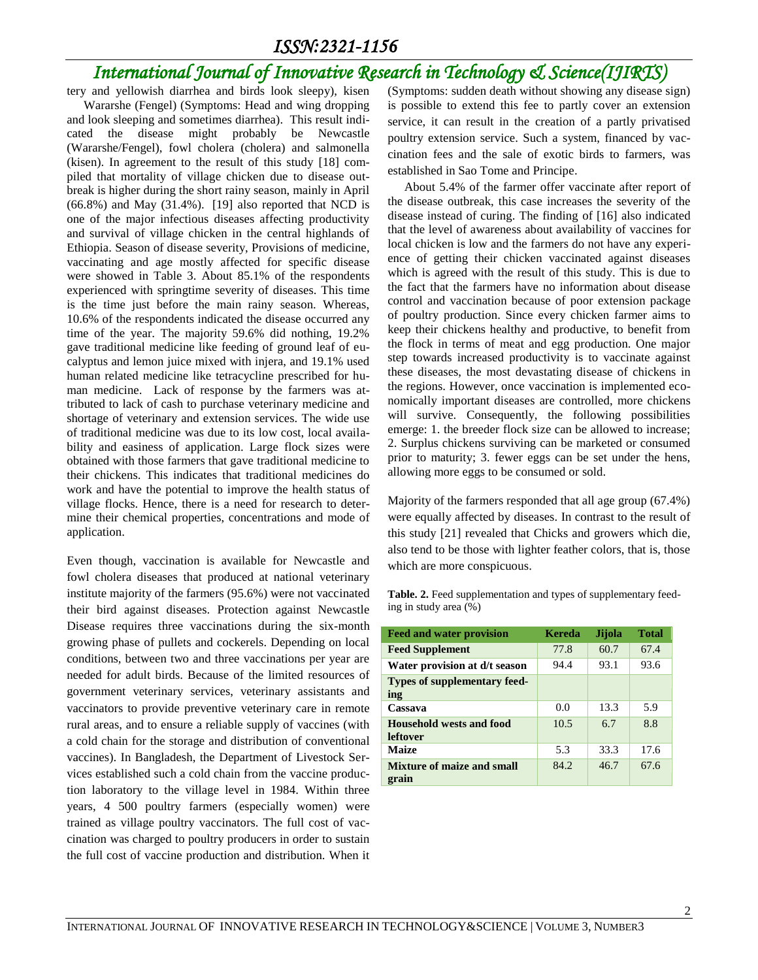## *International Journal of Innovative Research in Technology & Science(IJIRTS)*

Wararshe (Fengel) (Symptoms: Head and wing dropping and look sleeping and sometimes diarrhea). This result indicated the disease might probably be Newcastle (Wararshe/Fengel), fowl cholera (cholera) and salmonella (kisen). In agreement to the result of this study [18] compiled that mortality of village chicken due to disease outbreak is higher during the short rainy season, mainly in April (66.8%) and May (31.4%). [19] also reported that NCD is one of the major infectious diseases affecting productivity and survival of village chicken in the central highlands of Ethiopia. Season of disease severity, Provisions of medicine, vaccinating and age mostly affected for specific disease were showed in Table 3. About 85.1% of the respondents experienced with springtime severity of diseases. This time is the time just before the main rainy season. Whereas, 10.6% of the respondents indicated the disease occurred any time of the year. The majority 59.6% did nothing, 19.2% gave traditional medicine like feeding of ground leaf of eucalyptus and lemon juice mixed with injera, and 19.1% used human related medicine like tetracycline prescribed for human medicine. Lack of response by the farmers was attributed to lack of cash to purchase veterinary medicine and shortage of veterinary and extension services. The wide use of traditional medicine was due to its low cost, local availability and easiness of application. Large flock sizes were obtained with those farmers that gave traditional medicine to their chickens. This indicates that traditional medicines do work and have the potential to improve the health status of village flocks. Hence, there is a need for research to determine their chemical properties, concentrations and mode of application.

Even though, vaccination is available for Newcastle and fowl cholera diseases that produced at national veterinary institute majority of the farmers (95.6%) were not vaccinated their bird against diseases. Protection against Newcastle Disease requires three vaccinations during the six-month growing phase of pullets and cockerels. Depending on local conditions, between two and three vaccinations per year are needed for adult birds. Because of the limited resources of government veterinary services, veterinary assistants and vaccinators to provide preventive veterinary care in remote rural areas, and to ensure a reliable supply of vaccines (with a cold chain for the storage and distribution of conventional vaccines). In Bangladesh, the Department of Livestock Services established such a cold chain from the vaccine production laboratory to the village level in 1984. Within three years, 4 500 poultry farmers (especially women) were trained as village poultry vaccinators. The full cost of vaccination was charged to poultry producers in order to sustain the full cost of vaccine production and distribution. When it

tery and yellowish diarrhea and birds look sleepy), kisen (Symptoms: sudden death without showing any disease sign) is possible to extend this fee to partly cover an extension service, it can result in the creation of a partly privatised poultry extension service. Such a system, financed by vaccination fees and the sale of exotic birds to farmers, was established in Sao Tome and Principe.

> About 5.4% of the farmer offer vaccinate after report of the disease outbreak, this case increases the severity of the disease instead of curing. The finding of [16] also indicated that the level of awareness about availability of vaccines for local chicken is low and the farmers do not have any experience of getting their chicken vaccinated against diseases which is agreed with the result of this study. This is due to the fact that the farmers have no information about disease control and vaccination because of poor extension package of poultry production. Since every chicken farmer aims to keep their chickens healthy and productive, to benefit from the flock in terms of meat and egg production. One major step towards increased productivity is to vaccinate against these diseases, the most devastating disease of chickens in the regions. However, once vaccination is implemented economically important diseases are controlled, more chickens will survive. Consequently, the following possibilities emerge: 1. the breeder flock size can be allowed to increase; 2. Surplus chickens surviving can be marketed or consumed prior to maturity; 3. fewer eggs can be set under the hens, allowing more eggs to be consumed or sold.

> Majority of the farmers responded that all age group (67.4%) were equally affected by diseases. In contrast to the result of this study [21] revealed that Chicks and growers which die, also tend to be those with lighter feather colors, that is, those which are more conspicuous.

Table. 2. Feed supplementation and types of supplementary feeding in study area (%)

| <b>Feed and water provision</b>      | Kereda | Jijola | <b>Total</b> |
|--------------------------------------|--------|--------|--------------|
| <b>Feed Supplement</b>               | 77.8   | 60.7   | 67.4         |
| Water provision at d/t season        | 94.4   | 93.1   | 93.6         |
| Types of supplementary feed-<br>ing  |        |        |              |
| Cassava                              | 0.0    | 13.3   | 5.9          |
| Household wests and food<br>leftover | 10.5   | 6.7    | 8.8          |
| <b>Maize</b>                         | 5.3    | 33.3   | 17.6         |
| Mixture of maize and small<br>grain  | 84.2   | 46.7   | 67.6         |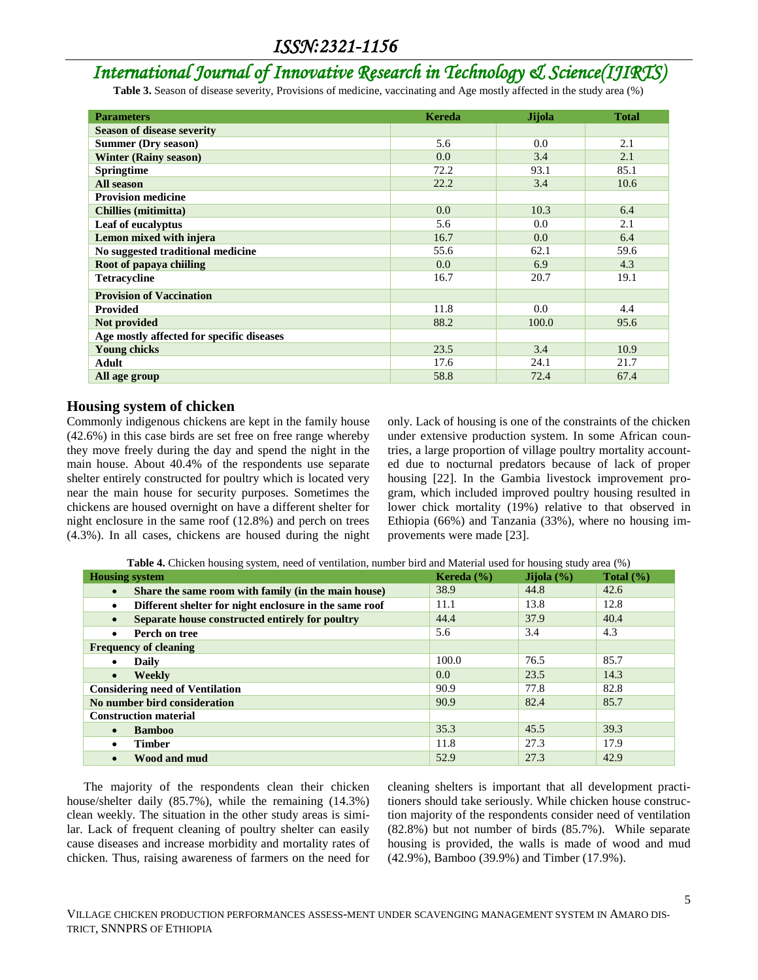## *International Journal of Innovative Research in Technology & Science(IJIRTS)*

Table 3. Season of disease severity, Provisions of medicine, vaccinating and Age mostly affected in the study area (%)

| <b>Parameters</b>                         | <b>Kereda</b> | <b>Jijola</b> | <b>Total</b> |
|-------------------------------------------|---------------|---------------|--------------|
| <b>Season of disease severity</b>         |               |               |              |
| <b>Summer (Dry season)</b>                | 5.6           | 0.0           | 2.1          |
| <b>Winter (Rainy season)</b>              | 0.0           | 3.4           | 2.1          |
| <b>Springtime</b>                         | 72.2          | 93.1          | 85.1         |
| All season                                | 22.2          | 3.4           | 10.6         |
| <b>Provision medicine</b>                 |               |               |              |
| <b>Chillies (mitimitta)</b>               | 0.0           | 10.3          | 6.4          |
| Leaf of eucalyptus                        | 5.6           | 0.0           | 2.1          |
| Lemon mixed with injera                   | 16.7          | 0.0           | 6.4          |
| No suggested traditional medicine         | 55.6          | 62.1          | 59.6         |
| Root of papaya chiiling                   | 0.0           | 6.9           | 4.3          |
| <b>Tetracycline</b>                       | 16.7          | 20.7          | 19.1         |
| <b>Provision of Vaccination</b>           |               |               |              |
| <b>Provided</b>                           | 11.8          | 0.0           | 4.4          |
| Not provided                              | 88.2          | 100.0         | 95.6         |
| Age mostly affected for specific diseases |               |               |              |
| <b>Young chicks</b>                       | 23.5          | 3.4           | 10.9         |
| <b>Adult</b>                              | 17.6          | 24.1          | 21.7         |
| All age group                             | 58.8          | 72.4          | 67.4         |

### **Housing system of chicken**

Commonly indigenous chickens are kept in the family house (42.6%) in this case birds are set free on free range whereby they move freely during the day and spend the night in the main house. About 40.4% of the respondents use separate shelter entirely constructed for poultry which is located very near the main house for security purposes. Sometimes the chickens are housed overnight on have a different shelter for night enclosure in the same roof (12.8%) and perch on trees (4.3%). In all cases, chickens are housed during the night only. Lack of housing is one of the constraints of the chicken under extensive production system. In some African countries, a large proportion of village poultry mortality accounted due to nocturnal predators because of lack of proper housing [22]. In the Gambia livestock improvement program, which included improved poultry housing resulted in lower chick mortality (19%) relative to that observed in Ethiopia (66%) and Tanzania (33%), where no housing improvements were made [23].

**Table 4.** Chicken housing system, need of ventilation, number bird and Material used for housing study area (%)

| <b>Housing system</b>                                               | Kereda $(\% )$   | Jijola $(\% )$ | Total $(\% )$ |
|---------------------------------------------------------------------|------------------|----------------|---------------|
| Share the same room with family (in the main house)<br>$\bullet$    | 38.9             | 44.8           | 42.6          |
| Different shelter for night enclosure in the same roof<br>$\bullet$ | 11.1             | 13.8           | 12.8          |
| Separate house constructed entirely for poultry<br>$\bullet$        | 44.4             | 37.9           | 40.4          |
| Perch on tree<br>$\bullet$                                          | 5.6              | 3.4            | 4.3           |
| <b>Frequency of cleaning</b>                                        |                  |                |               |
| <b>Daily</b><br>$\bullet$                                           | 100.0            | 76.5           | 85.7          |
| Weekly<br>$\bullet$                                                 | 0.0 <sub>1</sub> | 23.5           | 14.3          |
| <b>Considering need of Ventilation</b>                              | 90.9             | 77.8           | 82.8          |
| No number bird consideration                                        | 90.9             | 82.4           | 85.7          |
| <b>Construction material</b>                                        |                  |                |               |
| <b>Bamboo</b><br>$\bullet$                                          | 35.3             | 45.5           | 39.3          |
| <b>Timber</b><br>٠                                                  | 11.8             | 27.3           | 17.9          |
| Wood and mud<br>$\bullet$                                           | 52.9             | 27.3           | 42.9          |

The majority of the respondents clean their chicken house/shelter daily (85.7%), while the remaining (14.3%) clean weekly. The situation in the other study areas is similar. Lack of frequent cleaning of poultry shelter can easily cause diseases and increase morbidity and mortality rates of chicken. Thus, raising awareness of farmers on the need for

cleaning shelters is important that all development practitioners should take seriously. While chicken house construction majority of the respondents consider need of ventilation (82.8%) but not number of birds (85.7%). While separate housing is provided, the walls is made of wood and mud (42.9%), Bamboo (39.9%) and Timber (17.9%).

5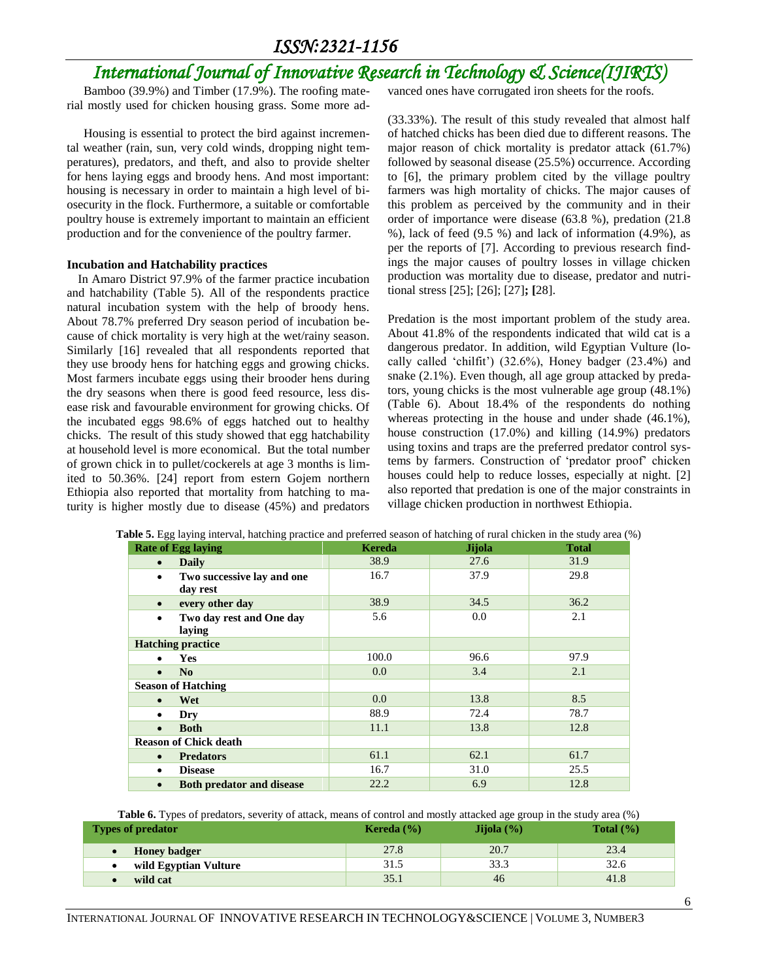## *International Journal of Innovative Research in Technology & Science(IJIRTS)*

Bamboo (39.9%) and Timber (17.9%). The roofing material mostly used for chicken housing grass. Some more ad-

Housing is essential to protect the bird against incremental weather (rain, sun, very cold winds, dropping night temperatures), predators, and theft, and also to provide shelter for hens laying eggs and broody hens. And most important: housing is necessary in order to maintain a high level of biosecurity in the flock. Furthermore, a suitable or comfortable poultry house is extremely important to maintain an efficient production and for the convenience of the poultry farmer.

#### **Incubation and Hatchability practices**

In Amaro District 97.9% of the farmer practice incubation and hatchability (Table 5). All of the respondents practice natural incubation system with the help of broody hens. About 78.7% preferred Dry season period of incubation because of chick mortality is very high at the wet/rainy season. Similarly [16] revealed that all respondents reported that they use broody hens for hatching eggs and growing chicks. Most farmers incubate eggs using their brooder hens during the dry seasons when there is good feed resource, less disease risk and favourable environment for growing chicks. Of the incubated eggs 98.6% of eggs hatched out to healthy chicks. The result of this study showed that egg hatchability at household level is more economical. But the total number of grown chick in to pullet/cockerels at age 3 months is limited to 50.36%. [24] report from estern Gojem northern Ethiopia also reported that mortality from hatching to maturity is higher mostly due to disease (45%) and predators

vanced ones have corrugated iron sheets for the roofs.

(33.33%). The result of this study revealed that almost half of hatched chicks has been died due to different reasons. The major reason of chick mortality is predator attack (61.7%) followed by seasonal disease (25.5%) occurrence. According to [6], the primary problem cited by the village poultry farmers was high mortality of chicks. The major causes of this problem as perceived by the community and in their order of importance were disease (63.8 %), predation (21.8 %), lack of feed (9.5 %) and lack of information (4.9%), as per the reports of [7]. According to previous research findings the major causes of poultry losses in village chicken production was mortality due to disease, predator and nutritional stress [25]; [26]; [27]**; [**28].

Predation is the most important problem of the study area. About 41.8% of the respondents indicated that wild cat is a dangerous predator. In addition, wild Egyptian Vulture (locally called 'chilfit') (32.6%), Honey badger (23.4%) and snake (2.1%). Even though, all age group attacked by predators, young chicks is the most vulnerable age group (48.1%) (Table 6). About 18.4% of the respondents do nothing whereas protecting in the house and under shade (46.1%), house construction (17.0%) and killing (14.9%) predators using toxins and traps are the preferred predator control systems by farmers. Construction of 'predator proof' chicken houses could help to reduce losses, especially at night. [2] also reported that predation is one of the major constraints in village chicken production in northwest Ethiopia.

| where, List with the morning process and presence season or maximity or ratio emergency area (76 |               |               |              |
|--------------------------------------------------------------------------------------------------|---------------|---------------|--------------|
| <b>Rate of Egg laying</b>                                                                        | <b>Kereda</b> | <b>Jijola</b> | <b>Total</b> |
| <b>Daily</b><br>$\bullet$                                                                        | 38.9          | 27.6          | 31.9         |
| Two successive lay and one<br>$\bullet$<br>day rest                                              | 16.7          | 37.9          | 29.8         |
| every other day<br>$\bullet$                                                                     | 38.9          | 34.5          | 36.2         |
| Two day rest and One day<br>$\bullet$<br>laying                                                  | 5.6           | 0.0           | 2.1          |
| <b>Hatching practice</b>                                                                         |               |               |              |
| <b>Yes</b><br>$\bullet$                                                                          | 100.0         | 96.6          | 97.9         |
| N <sub>0</sub><br>$\bullet$                                                                      | 0.0           | 3.4           | 2.1          |
| <b>Season of Hatching</b>                                                                        |               |               |              |
| Wet                                                                                              | $0.0\,$       | 13.8          | 8.5          |
| Dry<br>٠                                                                                         | 88.9          | 72.4          | 78.7         |
| <b>Both</b><br>$\bullet$                                                                         | 11.1          | 13.8          | 12.8         |
| <b>Reason of Chick death</b>                                                                     |               |               |              |
| <b>Predators</b><br>$\bullet$                                                                    | 61.1          | 62.1          | 61.7         |
| <b>Disease</b><br>٠                                                                              | 16.7          | 31.0          | 25.5         |
| <b>Both predator and disease</b><br>$\bullet$                                                    | 22.2          | 6.9           | 12.8         |

| Table 5. Egg laying interval, hatching practice and preferred season of hatching of rural chicken in the study area (%) |  |  |  |  |
|-------------------------------------------------------------------------------------------------------------------------|--|--|--|--|
|-------------------------------------------------------------------------------------------------------------------------|--|--|--|--|

**Table 6.** Types of predators, severity of attack, means of control and mostly attacked age group in the study area (%) **Types of predator Constanting Constanting Constanting Constanting Kereda (%) Jijola (%) Total (%) Total (%)** 

| and the contract of the contract of the contract of the contract of the contract of the contract of the contract of the contract of the contract of the contract of the contract of the contract of the contract of the contra | .    |              |  |
|--------------------------------------------------------------------------------------------------------------------------------------------------------------------------------------------------------------------------------|------|--------------|--|
| <b>Honey badger</b>                                                                                                                                                                                                            | 27.8 | 20.7         |  |
| wild Egyptian Vulture                                                                                                                                                                                                          | 31.5 | າາ 1<br>33.3 |  |
| wild cat                                                                                                                                                                                                                       |      | 46           |  |
|                                                                                                                                                                                                                                |      |              |  |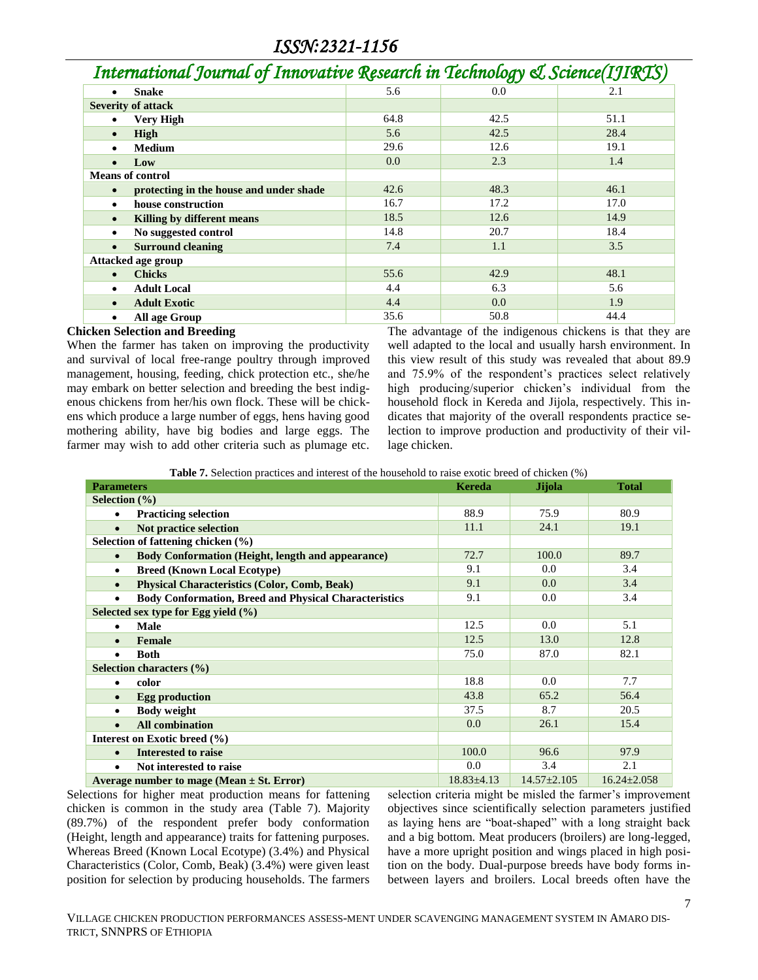| International Journal of Innovative Research in Technology & Science(IJIRTS) |      |      |      |  |  |  |
|------------------------------------------------------------------------------|------|------|------|--|--|--|
| <b>Snake</b><br>٠                                                            | 5.6  | 0.0  | 2.1  |  |  |  |
| <b>Severity of attack</b>                                                    |      |      |      |  |  |  |
| <b>Very High</b>                                                             | 64.8 | 42.5 | 51.1 |  |  |  |
| High<br>$\bullet$                                                            | 5.6  | 42.5 | 28.4 |  |  |  |
| <b>Medium</b><br>$\bullet$                                                   | 29.6 | 12.6 | 19.1 |  |  |  |
| Low                                                                          | 0.0  | 2.3  | 1.4  |  |  |  |
| <b>Means of control</b>                                                      |      |      |      |  |  |  |
| protecting in the house and under shade<br>$\bullet$                         | 42.6 | 48.3 | 46.1 |  |  |  |
| house construction<br>٠                                                      | 16.7 | 17.2 | 17.0 |  |  |  |
| Killing by different means<br>$\bullet$                                      | 18.5 | 12.6 | 14.9 |  |  |  |
| No suggested control<br>٠                                                    | 14.8 | 20.7 | 18.4 |  |  |  |
| <b>Surround cleaning</b><br>$\bullet$                                        | 7.4  | 1.1  | 3.5  |  |  |  |
| Attacked age group                                                           |      |      |      |  |  |  |
| <b>Chicks</b><br>$\bullet$                                                   | 55.6 | 42.9 | 48.1 |  |  |  |
| <b>Adult Local</b><br>$\bullet$                                              | 4.4  | 6.3  | 5.6  |  |  |  |
| <b>Adult Exotic</b>                                                          | 4.4  | 0.0  | 1.9  |  |  |  |
| All age Group<br>٠                                                           | 35.6 | 50.8 | 44.4 |  |  |  |

#### **Chicken Selection and Breeding**

When the farmer has taken on improving the productivity and survival of local free-range poultry through improved management, housing, feeding, chick protection etc., she/he may embark on better selection and breeding the best indigenous chickens from her/his own flock. These will be chickens which produce a large number of eggs, hens having good mothering ability, have big bodies and large eggs. The farmer may wish to add other criteria such as plumage etc.

The advantage of the indigenous chickens is that they are well adapted to the local and usually harsh environment. In this view result of this study was revealed that about 89.9 and 75.9% of the respondent's practices select relatively high producing/superior chicken's individual from the household flock in Kereda and Jijola, respectively. This indicates that majority of the overall respondents practice selection to improve production and productivity of their village chicken.

**Table 7.** Selection practices and interest of the household to raise exotic breed of chicken (%)

| <b>Parameters</b>                                                         | <b>Kereda</b>    | Jijola            | <b>Total</b>      |
|---------------------------------------------------------------------------|------------------|-------------------|-------------------|
| Selection $(\% )$                                                         |                  |                   |                   |
| <b>Practicing selection</b><br>$\bullet$                                  | 88.9             | 75.9              | 80.9              |
| Not practice selection<br>$\bullet$                                       | 11.1             | 24.1              | 19.1              |
| Selection of fattening chicken $(\% )$                                    |                  |                   |                   |
| <b>Body Conformation (Height, length and appearance)</b><br>$\bullet$     | 72.7             | 100.0             | 89.7              |
| <b>Breed (Known Local Ecotype)</b><br>$\bullet$                           | 9.1              | 0.0               | 3.4               |
| <b>Physical Characteristics (Color, Comb, Beak)</b><br>$\bullet$          | 9.1              | 0.0               | 3.4               |
| <b>Body Conformation, Breed and Physical Characteristics</b><br>$\bullet$ | 9.1              | 0.0               | 3.4               |
| Selected sex type for Egg yield (%)                                       |                  |                   |                   |
| Male                                                                      | 12.5             | 0.0               | 5.1               |
| Female<br>$\bullet$                                                       | 12.5             | 13.0              | 12.8              |
| <b>Both</b><br>$\bullet$                                                  | 75.0             | 87.0              | 82.1              |
| Selection characters (%)                                                  |                  |                   |                   |
| color<br>$\bullet$                                                        | 18.8             | 0.0               | 7.7               |
| <b>Egg production</b><br>$\bullet$                                        | 43.8             | 65.2              | 56.4              |
| <b>Body weight</b><br>$\bullet$                                           | 37.5             | 8.7               | 20.5              |
| <b>All combination</b><br>$\bullet$                                       | 0.0              | 26.1              | 15.4              |
| Interest on Exotic breed (%)                                              |                  |                   |                   |
| <b>Interested to raise</b><br>$\bullet$                                   | 100.0            | 96.6              | 97.9              |
| Not interested to raise<br>$\bullet$                                      | 0.0              | 3.4               | 2.1               |
| Average number to mage (Mean $\pm$ St. Error)                             | $18.83 \pm 4.13$ | $14.57 \pm 2.105$ | $16.24 \pm 2.058$ |

Selections for higher meat production means for fattening chicken is common in the study area (Table 7). Majority (89.7%) of the respondent prefer body conformation (Height, length and appearance) traits for fattening purposes. Whereas Breed (Known Local Ecotype) (3.4%) and Physical Characteristics (Color, Comb, Beak) (3.4%) were given least position for selection by producing households. The farmers selection criteria might be misled the farmer's improvement objectives since scientifically selection parameters justified as laying hens are "boat-shaped" with a long straight back and a big bottom. Meat producers (broilers) are long-legged, have a more upright position and wings placed in high position on the body. Dual-purpose breeds have body forms inbetween layers and broilers. Local breeds often have the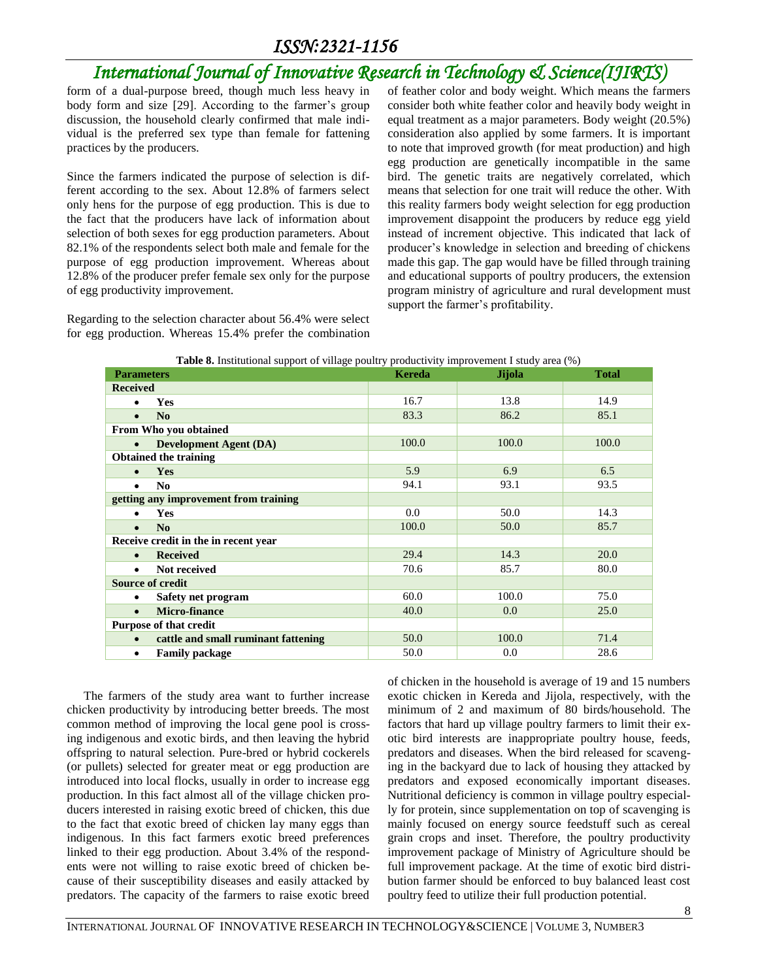## *International Journal of Innovative Research in Technology & Science(IJIRTS)*

form of a dual-purpose breed, though much less heavy in body form and size [29]. According to the farmer's group discussion, the household clearly confirmed that male individual is the preferred sex type than female for fattening practices by the producers.

Since the farmers indicated the purpose of selection is different according to the sex. About 12.8% of farmers select only hens for the purpose of egg production. This is due to the fact that the producers have lack of information about selection of both sexes for egg production parameters. About 82.1% of the respondents select both male and female for the purpose of egg production improvement. Whereas about 12.8% of the producer prefer female sex only for the purpose of egg productivity improvement.

Regarding to the selection character about 56.4% were select for egg production. Whereas 15.4% prefer the combination of feather color and body weight. Which means the farmers consider both white feather color and heavily body weight in equal treatment as a major parameters. Body weight (20.5%) consideration also applied by some farmers. It is important to note that improved growth (for meat production) and high egg production are genetically incompatible in the same bird. The genetic traits are negatively correlated, which means that selection for one trait will reduce the other. With this reality farmers body weight selection for egg production improvement disappoint the producers by reduce egg yield instead of increment objective. This indicated that lack of producer's knowledge in selection and breeding of chickens made this gap. The gap would have be filled through training and educational supports of poultry producers, the extension program ministry of agriculture and rural development must support the farmer's profitability.

| <b>Parameters</b>                                | <b>Kereda</b> | <b>Jijola</b> | <b>Total</b> |
|--------------------------------------------------|---------------|---------------|--------------|
| <b>Received</b>                                  |               |               |              |
| <b>Yes</b><br>$\bullet$                          | 16.7          | 13.8          | 14.9         |
| N <sub>0</sub><br>$\bullet$                      | 83.3          | 86.2          | 85.1         |
| From Who you obtained                            |               |               |              |
| <b>Development Agent (DA)</b><br>$\bullet$       | 100.0         | 100.0         | 100.0        |
| <b>Obtained the training</b>                     |               |               |              |
| <b>Yes</b><br>$\bullet$                          | 5.9           | 6.9           | 6.5          |
| N <sub>0</sub><br>$\bullet$                      | 94.1          | 93.1          | 93.5         |
| getting any improvement from training            |               |               |              |
| <b>Yes</b><br>$\bullet$                          | 0.0           | 50.0          | 14.3         |
| No<br>$\bullet$                                  | 100.0         | 50.0          | 85.7         |
| Receive credit in the in recent year             |               |               |              |
| <b>Received</b><br>$\bullet$                     | 29.4          | 14.3          | 20.0         |
| Not received<br>$\bullet$                        | 70.6          | 85.7          | 80.0         |
| <b>Source of credit</b>                          |               |               |              |
| Safety net program<br>$\bullet$                  | 60.0          | 100.0         | 75.0         |
| Micro-finance<br>$\bullet$                       | 40.0          | 0.0           | 25.0         |
| <b>Purpose of that credit</b>                    |               |               |              |
| cattle and small ruminant fattening<br>$\bullet$ | 50.0          | 100.0         | 71.4         |
| <b>Family package</b><br>٠                       | 50.0          | 0.0           | 28.6         |

|  |  | Table 8. Institutional support of village poultry productivity improvement I study area (%) |  |
|--|--|---------------------------------------------------------------------------------------------|--|
|  |  |                                                                                             |  |

The farmers of the study area want to further increase chicken productivity by introducing better breeds. The most common method of improving the local gene pool is crossing indigenous and exotic birds, and then leaving the hybrid offspring to natural selection. Pure-bred or hybrid cockerels (or pullets) selected for greater meat or egg production are introduced into local flocks, usually in order to increase egg production. In this fact almost all of the village chicken producers interested in raising exotic breed of chicken, this due to the fact that exotic breed of chicken lay many eggs than indigenous. In this fact farmers exotic breed preferences linked to their egg production. About 3.4% of the respondents were not willing to raise exotic breed of chicken because of their susceptibility diseases and easily attacked by predators. The capacity of the farmers to raise exotic breed

of chicken in the household is average of 19 and 15 numbers exotic chicken in Kereda and Jijola, respectively, with the minimum of 2 and maximum of 80 birds/household. The factors that hard up village poultry farmers to limit their exotic bird interests are inappropriate poultry house, feeds, predators and diseases. When the bird released for scavenging in the backyard due to lack of housing they attacked by predators and exposed economically important diseases. Nutritional deficiency is common in village poultry especially for protein, since supplementation on top of scavenging is mainly focused on energy source feedstuff such as cereal grain crops and inset. Therefore, the poultry productivity improvement package of Ministry of Agriculture should be full improvement package. At the time of exotic bird distribution farmer should be enforced to buy balanced least cost poultry feed to utilize their full production potential.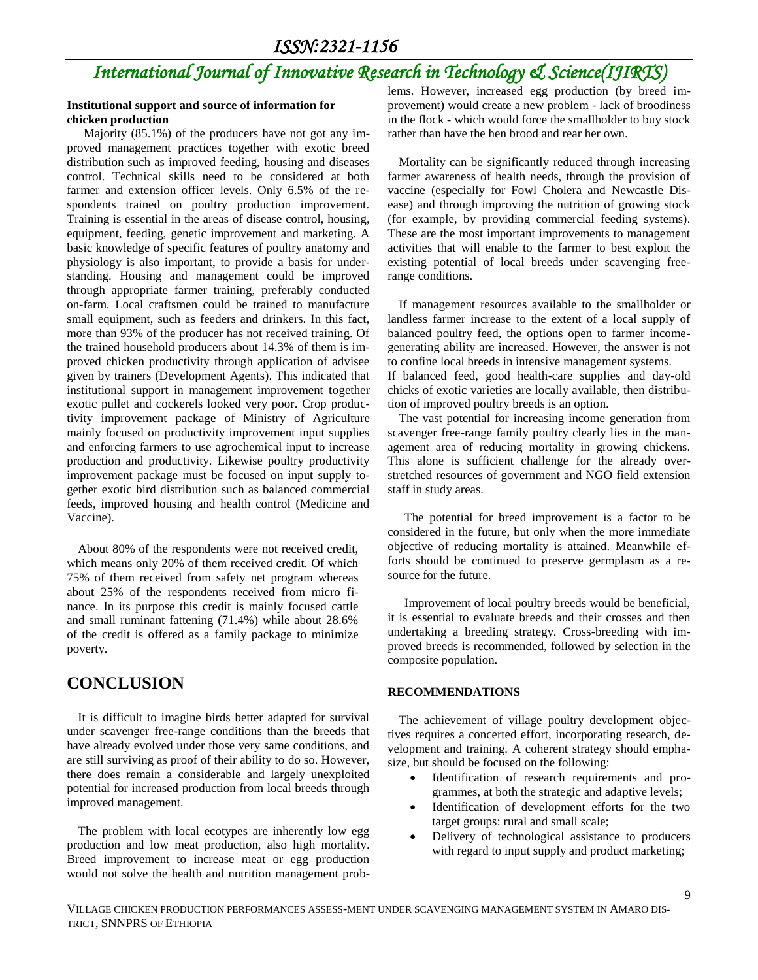## *International Journal of Innovative Research in Technology & Science(IJIRTS)*

#### **Institutional support and source of information for chicken production**

Majority (85.1%) of the producers have not got any improved management practices together with exotic breed distribution such as improved feeding, housing and diseases control. Technical skills need to be considered at both farmer and extension officer levels. Only 6.5% of the respondents trained on poultry production improvement. Training is essential in the areas of disease control, housing, equipment, feeding, genetic improvement and marketing. A basic knowledge of specific features of poultry anatomy and physiology is also important, to provide a basis for understanding. Housing and management could be improved through appropriate farmer training, preferably conducted on-farm. Local craftsmen could be trained to manufacture small equipment, such as feeders and drinkers. In this fact, more than 93% of the producer has not received training. Of the trained household producers about 14.3% of them is improved chicken productivity through application of advisee given by trainers (Development Agents). This indicated that institutional support in management improvement together exotic pullet and cockerels looked very poor. Crop productivity improvement package of Ministry of Agriculture mainly focused on productivity improvement input supplies and enforcing farmers to use agrochemical input to increase production and productivity. Likewise poultry productivity improvement package must be focused on input supply together exotic bird distribution such as balanced commercial feeds, improved housing and health control (Medicine and Vaccine).

About 80% of the respondents were not received credit, which means only 20% of them received credit. Of which 75% of them received from safety net program whereas about 25% of the respondents received from micro finance. In its purpose this credit is mainly focused cattle and small ruminant fattening (71.4%) while about 28.6% of the credit is offered as a family package to minimize poverty.

### **CONCLUSION**

It is difficult to imagine birds better adapted for survival under scavenger free-range conditions than the breeds that have already evolved under those very same conditions, and are still surviving as proof of their ability to do so. However, there does remain a considerable and largely unexploited potential for increased production from local breeds through improved management.

The problem with local ecotypes are inherently low egg production and low meat production, also high mortality. Breed improvement to increase meat or egg production would not solve the health and nutrition management problems. However, increased egg production (by breed improvement) would create a new problem - lack of broodiness in the flock - which would force the smallholder to buy stock rather than have the hen brood and rear her own.

Mortality can be significantly reduced through increasing farmer awareness of health needs, through the provision of vaccine (especially for Fowl Cholera and Newcastle Disease) and through improving the nutrition of growing stock (for example, by providing commercial feeding systems). These are the most important improvements to management activities that will enable to the farmer to best exploit the existing potential of local breeds under scavenging freerange conditions.

If management resources available to the smallholder or landless farmer increase to the extent of a local supply of balanced poultry feed, the options open to farmer incomegenerating ability are increased. However, the answer is not to confine local breeds in intensive management systems.

If balanced feed, good health-care supplies and day-old chicks of exotic varieties are locally available, then distribution of improved poultry breeds is an option.

The vast potential for increasing income generation from scavenger free-range family poultry clearly lies in the management area of reducing mortality in growing chickens. This alone is sufficient challenge for the already overstretched resources of government and NGO field extension staff in study areas.

The potential for breed improvement is a factor to be considered in the future, but only when the more immediate objective of reducing mortality is attained. Meanwhile efforts should be continued to preserve germplasm as a resource for the future.

Improvement of local poultry breeds would be beneficial, it is essential to evaluate breeds and their crosses and then undertaking a breeding strategy. Cross-breeding with improved breeds is recommended, followed by selection in the composite population.

### **RECOMMENDATIONS**

The achievement of village poultry development objectives requires a concerted effort, incorporating research, development and training. A coherent strategy should emphasize, but should be focused on the following:

- Identification of research requirements and programmes, at both the strategic and adaptive levels;
- Identification of development efforts for the two target groups: rural and small scale;
- Delivery of technological assistance to producers with regard to input supply and product marketing;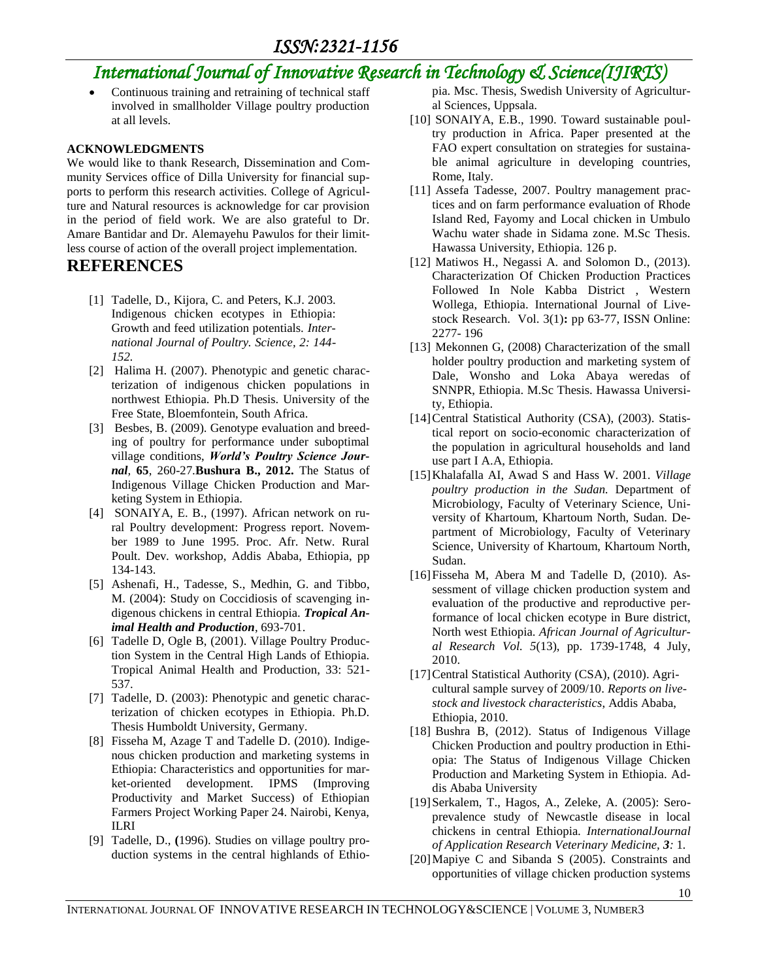## *International Journal of Innovative Research in Technology & Science(IJIRTS)*

 Continuous training and retraining of technical staff involved in smallholder Village poultry production at all levels.

### **ACKNOWLEDGMENTS**

We would like to thank Research, Dissemination and Community Services office of Dilla University for financial supports to perform this research activities. College of Agriculture and Natural resources is acknowledge for car provision in the period of field work. We are also grateful to Dr. Amare Bantidar and Dr. Alemayehu Pawulos for their limitless course of action of the overall project implementation.

### **REFERENCES**

- [1] Tadelle, D., Kijora, C. and Peters, K.J. 2003. Indigenous chicken ecotypes in Ethiopia: Growth and feed utilization potentials. *International Journal of Poultry. Science, 2: 144- 152.*
- [2] Halima H. (2007). Phenotypic and genetic characterization of indigenous chicken populations in northwest Ethiopia. Ph.D Thesis. University of the Free State, Bloemfontein, South Africa.
- [3] Besbes, B. (2009). Genotype evaluation and breeding of poultry for performance under suboptimal village conditions, *World's Poultry Science Journal,* **65**, 260-27*.***Bushura B., 2012.** The Status of Indigenous Village Chicken Production and Marketing System in Ethiopia.
- [4] SONAIYA, E. B., (1997). African network on rural Poultry development: Progress report. November 1989 to June 1995. Proc. Afr. Netw. Rural Poult. Dev*.* workshop, Addis Ababa, Ethiopia, pp 134-143.
- [5] Ashenafi, H., Tadesse, S., Medhin, G. and Tibbo, M. (2004): Study on Coccidiosis of scavenging indigenous chickens in central Ethiopia. *Tropical Animal Health and Production*, 693-701.
- [6] Tadelle D, Ogle B, (2001). Village Poultry Production System in the Central High Lands of Ethiopia. Tropical Animal Health and Production, 33: 521- 537.
- [7] Tadelle, D. (2003): Phenotypic and genetic characterization of chicken ecotypes in Ethiopia. Ph.D. Thesis Humboldt University, Germany.
- [8] Fisseha M, Azage T and Tadelle D. (2010). Indigenous chicken production and marketing systems in Ethiopia: Characteristics and opportunities for market-oriented development. IPMS (Improving Productivity and Market Success) of Ethiopian Farmers Project Working Paper 24. Nairobi, Kenya, ILRI
- [9] Tadelle, D., **(**1996). Studies on village poultry production systems in the central highlands of Ethio-

pia. Msc. Thesis, Swedish University of Agricultural Sciences, Uppsala.

- [10] SONAIYA, E.B., 1990. Toward sustainable poultry production in Africa. Paper presented at the FAO expert consultation on strategies for sustainable animal agriculture in developing countries, Rome, Italy.
- [11] Assefa Tadesse, 2007. Poultry management practices and on farm performance evaluation of Rhode Island Red, Fayomy and Local chicken in Umbulo Wachu water shade in Sidama zone. M.Sc Thesis. Hawassa University, Ethiopia. 126 p.
- [12] Matiwos H., Negassi A. and Solomon D., (2013). Characterization Of Chicken Production Practices Followed In Nole Kabba District , Western Wollega, Ethiopia. International Journal of Livestock Research. [Vol. 3\(1\)](http://www.scopemed.org/?jid=68&iid=2013-3-1.000)**:** pp 63-77, ISSN Online: 2277- 196
- [13] Mekonnen G, (2008) Characterization of the small holder poultry production and marketing system of Dale, Wonsho and Loka Abaya weredas of SNNPR, Ethiopia. M.Sc Thesis. Hawassa University, Ethiopia.
- [14] Central Statistical Authority (CSA), (2003). Statistical report on socio-economic characterization of the population in agricultural households and land use part I A.A, Ethiopia.
- [15]Khalafalla AI, Awad S and Hass W. 2001. *Village poultry production in the Sudan.* Department of Microbiology, Faculty of Veterinary Science, University of Khartoum, Khartoum North, Sudan. Department of Microbiology, Faculty of Veterinary Science, University of Khartoum, Khartoum North, Sudan.
- [16]Fisseha M, Abera M and Tadelle D, (2010). Assessment of village chicken production system and evaluation of the productive and reproductive performance of local chicken ecotype in Bure district, North west Ethiopia. *African Journal of Agricultural Research Vol. 5*(13), pp. 1739-1748, 4 July, 2010.
- [17] Central Statistical Authority (CSA), (2010). Agricultural sample survey of 2009/10. *Reports on livestock and livestock characteristics*, Addis Ababa, Ethiopia, 2010.
- [18] Bushra B, (2012). Status of Indigenous Village Chicken Production and poultry production in Ethiopia: The Status of Indigenous Village Chicken Production and Marketing System in Ethiopia. Addis Ababa University
- [19] Serkalem, T., Hagos, A., Zeleke, A. (2005): Seroprevalence study of Newcastle disease in local chickens in central Ethiopia*. InternationalJournal of Application Research Veterinary Medicine, 3:* 1*.*
- [20]Mapiye C and Sibanda S (2005). Constraints and opportunities of village chicken production systems